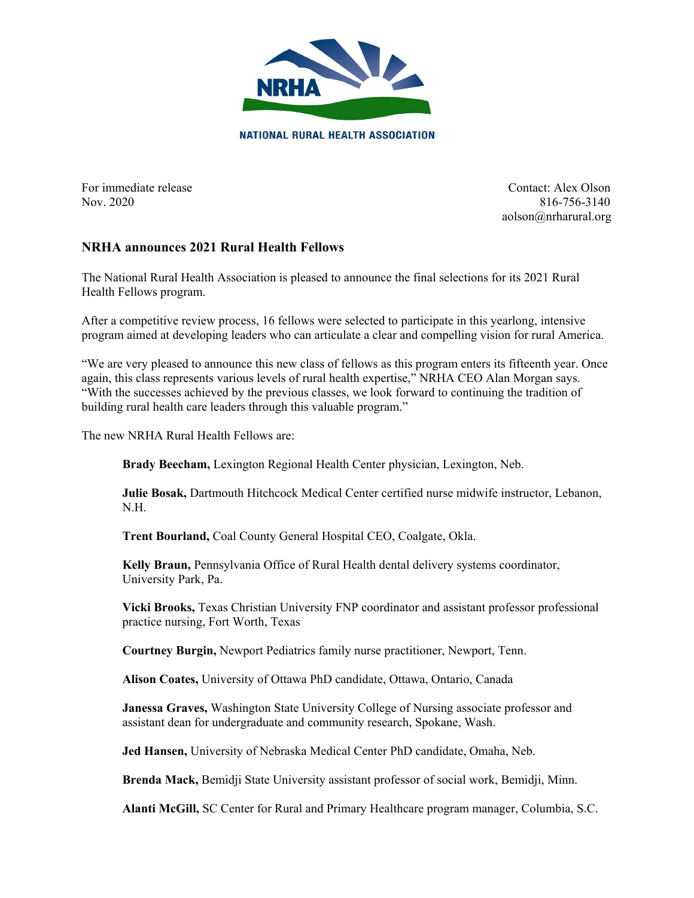

For immediate release Contact: Alex Olson Nov. 2020 816-756-3140 aolson@nrharural.org

## **NRHA announces 2021 Rural Health Fellows**

The National Rural Health Association is pleased to announce the final selections for its 2021 Rural Health Fellows program.

After a competitive review process, 16 fellows were selected to participate in this yearlong, intensive program aimed at developing leaders who can articulate a clear and compelling vision for rural America.

"We are very pleased to announce this new class of fellows as this program enters its fifteenth year. Once again, this class represents various levels of rural health expertise," NRHA CEO Alan Morgan says. "With the successes achieved by the previous classes, we look forward to continuing the tradition of building rural health care leaders through this valuable program."

The new NRHA Rural Health Fellows are:

**Brady Beecham,** Lexington Regional Health Center physician, Lexington, Neb.

**Julie Bosak,** Dartmouth Hitchcock Medical Center certified nurse midwife instructor, Lebanon, N.H.

**Trent Bourland,** Coal County General Hospital CEO, Coalgate, Okla.

**Kelly Braun,** Pennsylvania Office of Rural Health dental delivery systems coordinator, University Park, Pa.

**Vicki Brooks,** Texas Christian University FNP coordinator and assistant professor professional practice nursing, Fort Worth, Texas

**Courtney Burgin,** Newport Pediatrics family nurse practitioner, Newport, Tenn.

**Alison Coates,** University of Ottawa PhD candidate, Ottawa, Ontario, Canada

**Janessa Graves,** Washington State University College of Nursing associate professor and assistant dean for undergraduate and community research, Spokane, Wash.

**Jed Hansen,** University of Nebraska Medical Center PhD candidate, Omaha, Neb.

**Brenda Mack,** Bemidji State University assistant professor of social work, Bemidji, Minn.

**Alanti McGill,** SC Center for Rural and Primary Healthcare program manager, Columbia, S.C.